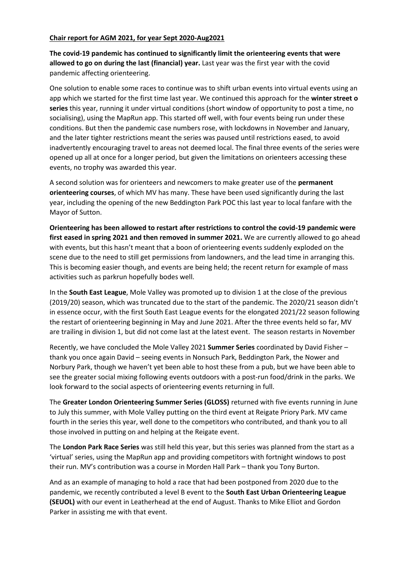## **Chair report for AGM 2021, for year Sept 2020-Aug2021**

**The covid-19 pandemic has continued to significantly limit the orienteering events that were allowed to go on during the last (financial) year.** Last year was the first year with the covid pandemic affecting orienteering.

One solution to enable some races to continue was to shift urban events into virtual events using an app which we started for the first time last year. We continued this approach for the **winter street o series** this year, running it under virtual conditions (short window of opportunity to post a time, no socialising), using the MapRun app. This started off well, with four events being run under these conditions. But then the pandemic case numbers rose, with lockdowns in November and January, and the later tighter restrictions meant the series was paused until restrictions eased, to avoid inadvertently encouraging travel to areas not deemed local. The final three events of the series were opened up all at once for a longer period, but given the limitations on orienteers accessing these events, no trophy was awarded this year.

A second solution was for orienteers and newcomers to make greater use of the **permanent orienteering courses**, of which MV has many. These have been used significantly during the last year, including the opening of the new Beddington Park POC this last year to local fanfare with the Mayor of Sutton.

**Orienteering has been allowed to restart after restrictions to control the covid-19 pandemic were first eased in spring 2021 and then removed in summer 2021.** We are currently allowed to go ahead with events, but this hasn't meant that a boon of orienteering events suddenly exploded on the scene due to the need to still get permissions from landowners, and the lead time in arranging this. This is becoming easier though, and events are being held; the recent return for example of mass activities such as parkrun hopefully bodes well.

In the **South East League**, Mole Valley was promoted up to division 1 at the close of the previous (2019/20) season, which was truncated due to the start of the pandemic. The 2020/21 season didn't in essence occur, with the first South East League events for the elongated 2021/22 season following the restart of orienteering beginning in May and June 2021. After the three events held so far, MV are trailing in division 1, but did not come last at the latest event. The season restarts in November

Recently, we have concluded the Mole Valley 2021 **Summer Series** coordinated by David Fisher – thank you once again David – seeing events in Nonsuch Park, Beddington Park, the Nower and Norbury Park, though we haven't yet been able to host these from a pub, but we have been able to see the greater social mixing following events outdoors with a post-run food/drink in the parks. We look forward to the social aspects of orienteering events returning in full.

The **Greater London Orienteering Summer Series (GLOSS)** returned with five events running in June to July this summer, with Mole Valley putting on the third event at Reigate Priory Park. MV came fourth in the series this year, well done to the competitors who contributed, and thank you to all those involved in putting on and helping at the Reigate event.

The **London Park Race Series** was still held this year, but this series was planned from the start as a 'virtual' series, using the MapRun app and providing competitors with fortnight windows to post their run. MV's contribution was a course in Morden Hall Park – thank you Tony Burton.

And as an example of managing to hold a race that had been postponed from 2020 due to the pandemic, we recently contributed a level B event to the **South East Urban Orienteering League (SEUOL)** with our event in Leatherhead at the end of August. Thanks to Mike Elliot and Gordon Parker in assisting me with that event.